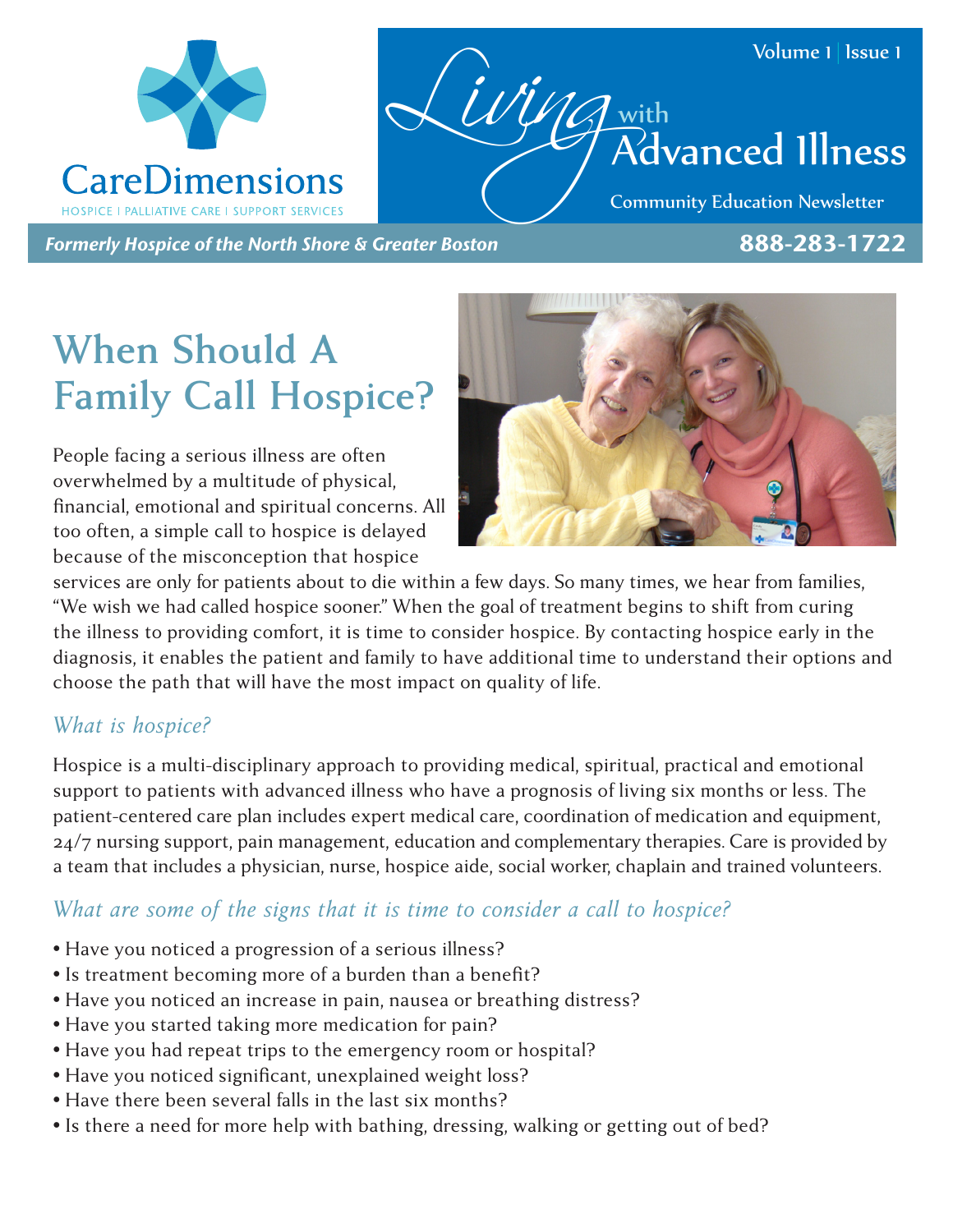



Community Education Newsletter

*Formerly Hospice of the North Shore & Greater Boston* 888-283-1722

# **When Should A Family Call Hospice?**

People facing a serious illness are often overwhelmed by a multitude of physical, financial, emotional and spiritual concerns. All too often, a simple call to hospice is delayed because of the misconception that hospice



services are only for patients about to die within a few days. So many times, we hear from families, "We wish we had called hospice sooner." When the goal of treatment begins to shift from curing the illness to providing comfort, it is time to consider hospice. By contacting hospice early in the diagnosis, it enables the patient and family to have additional time to understand their options and choose the path that will have the most impact on quality of life.

### *What is hospice?*

Hospice is a multi-disciplinary approach to providing medical, spiritual, practical and emotional support to patients with advanced illness who have a prognosis of living six months or less. The patient-centered care plan includes expert medical care, coordination of medication and equipment, 24/7 nursing support, pain management, education and complementary therapies. Care is provided by a team that includes a physician, nurse, hospice aide, social worker, chaplain and trained volunteers.

#### *What are some of the signs that it is time to consider a call to hospice?*

- Have you noticed a progression of a serious illness?
- Is treatment becoming more of a burden than a benefit?
- Have you noticed an increase in pain, nausea or breathing distress?
- Have you started taking more medication for pain?
- Have you had repeat trips to the emergency room or hospital?
- Have you noticed significant, unexplained weight loss?
- Have there been several falls in the last six months?
- Is there a need for more help with bathing, dressing, walking or getting out of bed?